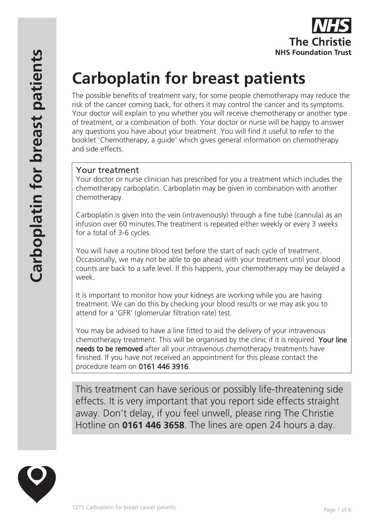# **Carboplatin for breast patients**

The possible benefits of treatment vary; for some people chemotherapy may reduce the risk of the cancer coming back, for others it may control the cancer and its symptoms. Your doctor will explain to you whether you will receive chemotherapy or another type of treatment, or a combination of both. Your doctor or nurse will be happy to answer any questions you have about your treatment. You will find it useful to refer to the booklet 'Chemotherapy, a guide' which gives general information on chemotherapy and side effects.

# Your treatment

Your doctor or nurse clinician has prescribed for you a treatment which includes the chemotherapy carboplatin. Carboplatin may be given in combination with another chemotherapy.

Carboplatin is given into the vein (intravenously) through a fine tube (cannula) as an infusion over 60 minutes.The treatment is repeated either weekly or every 3 weeks for a total of 3-6 cycles.

You will have a routine blood test before the start of each cycle of treatment. Occasionally, we may not be able to go ahead with your treatment until your blood counts are back to a safe level. If this happens, your chemotherapy may be delayed a week.

It is important to monitor how your kidneys are working while you are having treatment. We can do this by checking your blood results or we may ask you to attend for a 'GFR' (glomerular filtration rate) test.

You may be advised to have a line fitted to aid the delivery of your intravenous chemotherapy treatment. This will be organised by the clinic if it is required. Your line needs to be removed after all your intravenous chemotherapy treatments have finished. If you have not received an appointment for this please contact the procedure team on 0161 446 3916.

This treatment can have serious or possibly life-threatening side effects. It is very important that you report side effects straight away. Don't delay, if you feel unwell, please ring The Christie Hotline on **0161 446 3658**. The lines are open 24 hours a day.

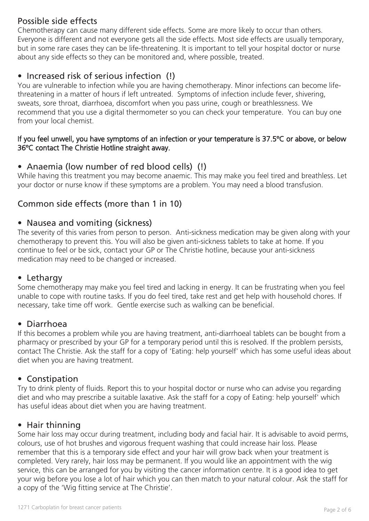# Possible side effects

Chemotherapy can cause many different side effects. Some are more likely to occur than others. Everyone is different and not everyone gets all the side effects. Most side effects are usually temporary, but in some rare cases they can be life-threatening. It is important to tell your hospital doctor or nurse about any side effects so they can be monitored and, where possible, treated.

# • Increased risk of serious infection (!)

You are vulnerable to infection while you are having chemotherapy. Minor infections can become lifethreatening in a matter of hours if left untreated. Symptoms of infection include fever, shivering, sweats, sore throat, diarrhoea, discomfort when you pass urine, cough or breathlessness. We recommend that you use a digital thermometer so you can check your temperature. You can buy one from your local chemist.

#### If you feel unwell, you have symptoms of an infection or your temperature is 37.5ºC or above, or below 36ºC contact The Christie Hotline straight away.

## • Anaemia (low number of red blood cells) (!)

While having this treatment you may become anaemic. This may make you feel tired and breathless. Let your doctor or nurse know if these symptoms are a problem. You may need a blood transfusion.

# Common side effects (more than 1 in 10)

## • Nausea and vomiting (sickness)

The severity of this varies from person to person. Anti-sickness medication may be given along with your chemotherapy to prevent this. You will also be given anti-sickness tablets to take at home. If you continue to feel or be sick, contact your GP or The Christie hotline, because your anti-sickness medication may need to be changed or increased.

#### • Lethargy

Some chemotherapy may make you feel tired and lacking in energy. It can be frustrating when you feel unable to cope with routine tasks. If you do feel tired, take rest and get help with household chores. If necessary, take time off work. Gentle exercise such as walking can be beneficial.

## • Diarrhoea

If this becomes a problem while you are having treatment, anti-diarrhoeal tablets can be bought from a pharmacy or prescribed by your GP for a temporary period until this is resolved. If the problem persists, contact The Christie. Ask the staff for a copy of 'Eating: help yourself' which has some useful ideas about diet when you are having treatment.

## • Constipation

Try to drink plenty of fluids. Report this to your hospital doctor or nurse who can advise you regarding diet and who may prescribe a suitable laxative. Ask the staff for a copy of Eating: help yourself' which has useful ideas about diet when you are having treatment.

#### • Hair thinning

Some hair loss may occur during treatment, including body and facial hair. It is advisable to avoid perms, colours, use of hot brushes and vigorous frequent washing that could increase hair loss. Please remember that this is a temporary side effect and your hair will grow back when your treatment is completed. Very rarely, hair loss may be permanent. If you would like an appointment with the wig service, this can be arranged for you by visiting the cancer information centre. It is a good idea to get your wig before you lose a lot of hair which you can then match to your natural colour. Ask the staff for a copy of the 'Wig fitting service at The Christie'.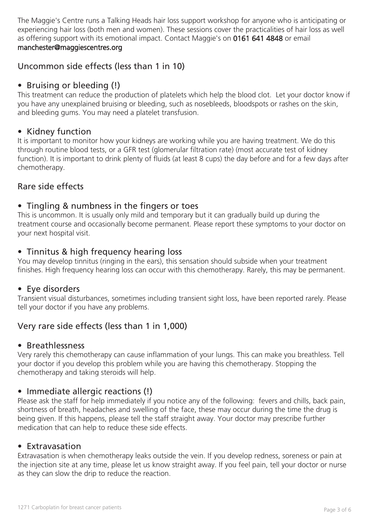The Maggie's Centre runs a Talking Heads hair loss support workshop for anyone who is anticipating or experiencing hair loss (both men and women). These sessions cover the practicalities of hair loss as well as offering support with its emotional impact. Contact Maggie's on 0161 641 4848 or email manchester@maggiescentres.org

# Uncommon side effects (less than 1 in 10)

# • Bruising or bleeding (!)

This treatment can reduce the production of platelets which help the blood clot. Let your doctor know if you have any unexplained bruising or bleeding, such as nosebleeds, bloodspots or rashes on the skin, and bleeding gums. You may need a platelet transfusion.

#### • Kidney function

It is important to monitor how your kidneys are working while you are having treatment. We do this through routine blood tests, or a GFR test (glomerular filtration rate) (most accurate test of kidney function). It is important to drink plenty of fluids (at least 8 cups) the day before and for a few days after chemotherapy.

## Rare side effects

## • Tingling & numbness in the fingers or toes

This is uncommon. It is usually only mild and temporary but it can gradually build up during the treatment course and occasionally become permanent. Please report these symptoms to your doctor on your next hospital visit.

## • Tinnitus & high frequency hearing loss

You may develop tinnitus (ringing in the ears), this sensation should subside when your treatment finishes. High frequency hearing loss can occur with this chemotherapy. Rarely, this may be permanent.

## • Eye disorders

Transient visual disturbances, sometimes including transient sight loss, have been reported rarely. Please tell your doctor if you have any problems.

# Very rare side effects (less than 1 in 1,000)

#### • Breathlessness

Very rarely this chemotherapy can cause inflammation of your lungs. This can make you breathless. Tell your doctor if you develop this problem while you are having this chemotherapy. Stopping the chemotherapy and taking steroids will help.

#### • Immediate allergic reactions (!)

Please ask the staff for help immediately if you notice any of the following: fevers and chills, back pain, shortness of breath, headaches and swelling of the face, these may occur during the time the drug is being given. If this happens, please tell the staff straight away. Your doctor may prescribe further medication that can help to reduce these side effects.

#### • Extravasation

Extravasation is when chemotherapy leaks outside the vein. If you develop redness, soreness or pain at the injection site at any time, please let us know straight away. If you feel pain, tell your doctor or nurse as they can slow the drip to reduce the reaction.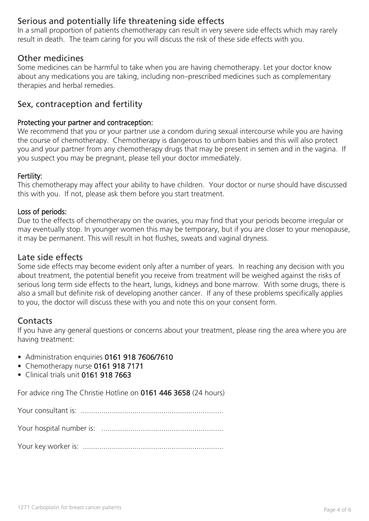# Serious and potentially life threatening side effects

In a small proportion of patients chemotherapy can result in very severe side effects which may rarely result in death. The team caring for you will discuss the risk of these side effects with you.

#### Other medicines

Some medicines can be harmful to take when you are having chemotherapy. Let your doctor know about any medications you are taking, including non–prescribed medicines such as complementary therapies and herbal remedies.

## Sex, contraception and fertility

#### Protecting your partner and contraception:

We recommend that you or your partner use a condom during sexual intercourse while you are having the course of chemotherapy. Chemotherapy is dangerous to unborn babies and this will also protect you and your partner from any chemotherapy drugs that may be present in semen and in the vagina. If you suspect you may be pregnant, please tell your doctor immediately.

#### Fertility:

This chemotherapy may affect your ability to have children. Your doctor or nurse should have discussed this with you. If not, please ask them before you start treatment.

#### Loss of periods:

Due to the effects of chemotherapy on the ovaries, you may find that your periods become irregular or may eventually stop. In younger women this may be temporary, but if you are closer to your menopause, it may be permanent. This will result in hot flushes, sweats and vaginal dryness.

#### Late side effects

Some side effects may become evident only after a number of years. In reaching any decision with you about treatment, the potential benefit you receive from treatment will be weighed against the risks of serious long term side effects to the heart, lungs, kidneys and bone marrow. With some drugs, there is also a small but definite risk of developing another cancer. If any of these problems specifically applies to you, the doctor will discuss these with you and note this on your consent form.

## **Contacts**

If you have any general questions or concerns about your treatment, please ring the area where you are having treatment:

- Administration enquiries 0161 918 7606/7610
- Chemotherapy nurse 0161 918 7171
- Clinical trials unit 0161 918 7663

For advice ring The Christie Hotline on 0161 446 3658 (24 hours)

Your consultant is: .....................................................................

Your hospital number is: ...........................................................

Your key worker is: ....................................................................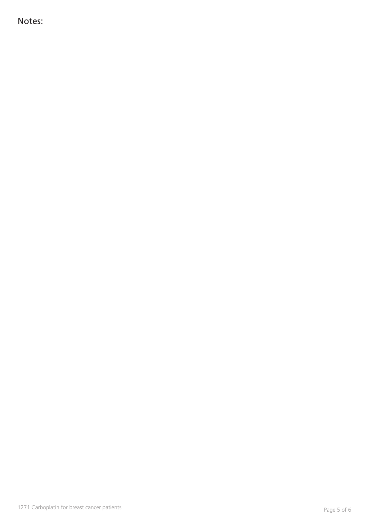Notes: